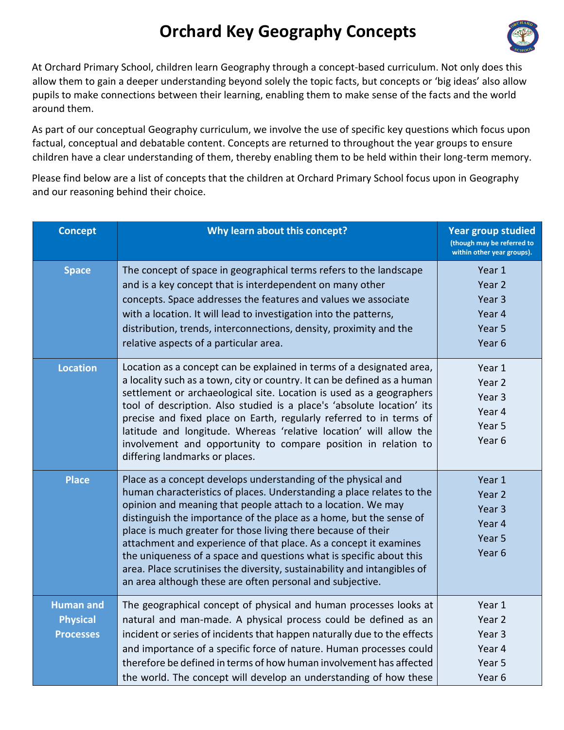## **Orchard Key Geography Concepts**



At Orchard Primary School, children learn Geography through a concept-based curriculum. Not only does this allow them to gain a deeper understanding beyond solely the topic facts, but concepts or 'big ideas' also allow pupils to make connections between their learning, enabling them to make sense of the facts and the world around them.

As part of our conceptual Geography curriculum, we involve the use of specific key questions which focus upon factual, conceptual and debatable content. Concepts are returned to throughout the year groups to ensure children have a clear understanding of them, thereby enabling them to be held within their long-term memory.

Please find below are a list of concepts that the children at Orchard Primary School focus upon in Geography and our reasoning behind their choice.

| <b>Concept</b>                                          | Why learn about this concept?                                                                                                                                                                                                                                                                                                                                                                                                                                                                                                                                                                                                       | <b>Year group studied</b><br>(though may be referred to<br>within other year groups). |
|---------------------------------------------------------|-------------------------------------------------------------------------------------------------------------------------------------------------------------------------------------------------------------------------------------------------------------------------------------------------------------------------------------------------------------------------------------------------------------------------------------------------------------------------------------------------------------------------------------------------------------------------------------------------------------------------------------|---------------------------------------------------------------------------------------|
| <b>Space</b>                                            | The concept of space in geographical terms refers to the landscape<br>and is a key concept that is interdependent on many other<br>concepts. Space addresses the features and values we associate<br>with a location. It will lead to investigation into the patterns,<br>distribution, trends, interconnections, density, proximity and the<br>relative aspects of a particular area.                                                                                                                                                                                                                                              | Year 1<br>Year 2<br>Year <sub>3</sub><br>Year 4<br>Year 5<br>Year <sub>6</sub>        |
| <b>Location</b>                                         | Location as a concept can be explained in terms of a designated area,<br>a locality such as a town, city or country. It can be defined as a human<br>settlement or archaeological site. Location is used as a geographers<br>tool of description. Also studied is a place's 'absolute location' its<br>precise and fixed place on Earth, regularly referred to in terms of<br>latitude and longitude. Whereas 'relative location' will allow the<br>involvement and opportunity to compare position in relation to<br>differing landmarks or places.                                                                                | Year 1<br>Year 2<br>Year <sub>3</sub><br>Year 4<br>Year 5<br>Year 6                   |
| <b>Place</b>                                            | Place as a concept develops understanding of the physical and<br>human characteristics of places. Understanding a place relates to the<br>opinion and meaning that people attach to a location. We may<br>distinguish the importance of the place as a home, but the sense of<br>place is much greater for those living there because of their<br>attachment and experience of that place. As a concept it examines<br>the uniqueness of a space and questions what is specific about this<br>area. Place scrutinises the diversity, sustainability and intangibles of<br>an area although these are often personal and subjective. | Year 1<br>Year 2<br>Year 3<br>Year 4<br>Year 5<br>Year <sub>6</sub>                   |
| <b>Human and</b><br><b>Physical</b><br><b>Processes</b> | The geographical concept of physical and human processes looks at<br>natural and man-made. A physical process could be defined as an<br>incident or series of incidents that happen naturally due to the effects<br>and importance of a specific force of nature. Human processes could<br>therefore be defined in terms of how human involvement has affected<br>the world. The concept will develop an understanding of how these                                                                                                                                                                                                 | Year 1<br>Year 2<br>Year 3<br>Year 4<br>Year 5<br>Year <sub>6</sub>                   |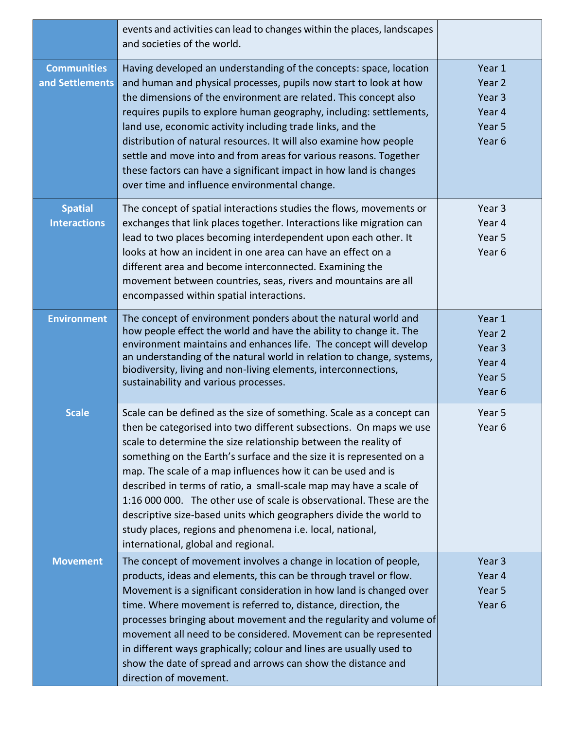|                                       | events and activities can lead to changes within the places, landscapes<br>and societies of the world.                                                                                                                                                                                                                                                                                                                                                                                                                                                                                                                                                                         |                                                          |
|---------------------------------------|--------------------------------------------------------------------------------------------------------------------------------------------------------------------------------------------------------------------------------------------------------------------------------------------------------------------------------------------------------------------------------------------------------------------------------------------------------------------------------------------------------------------------------------------------------------------------------------------------------------------------------------------------------------------------------|----------------------------------------------------------|
| <b>Communities</b><br>and Settlements | Having developed an understanding of the concepts: space, location<br>and human and physical processes, pupils now start to look at how<br>the dimensions of the environment are related. This concept also<br>requires pupils to explore human geography, including: settlements,<br>land use, economic activity including trade links, and the<br>distribution of natural resources. It will also examine how people<br>settle and move into and from areas for various reasons. Together<br>these factors can have a significant impact in how land is changes<br>over time and influence environmental change.                                                             | Year 1<br>Year 2<br>Year 3<br>Year 4<br>Year 5<br>Year 6 |
| <b>Spatial</b><br><b>Interactions</b> | The concept of spatial interactions studies the flows, movements or<br>exchanges that link places together. Interactions like migration can<br>lead to two places becoming interdependent upon each other. It<br>looks at how an incident in one area can have an effect on a<br>different area and become interconnected. Examining the<br>movement between countries, seas, rivers and mountains are all<br>encompassed within spatial interactions.                                                                                                                                                                                                                         | Year <sub>3</sub><br>Year 4<br>Year 5<br>Year 6          |
| <b>Environment</b>                    | The concept of environment ponders about the natural world and<br>how people effect the world and have the ability to change it. The<br>environment maintains and enhances life. The concept will develop<br>an understanding of the natural world in relation to change, systems,<br>biodiversity, living and non-living elements, interconnections,<br>sustainability and various processes.                                                                                                                                                                                                                                                                                 | Year 1<br>Year 2<br>Year 3<br>Year 4<br>Year 5<br>Year 6 |
| <b>Scale</b>                          | Scale can be defined as the size of something. Scale as a concept can<br>then be categorised into two different subsections. On maps we use<br>scale to determine the size relationship between the reality of<br>something on the Earth's surface and the size it is represented on a<br>map. The scale of a map influences how it can be used and is<br>described in terms of ratio, a small-scale map may have a scale of<br>1:16 000 000. The other use of scale is observational. These are the<br>descriptive size-based units which geographers divide the world to<br>study places, regions and phenomena i.e. local, national,<br>international, global and regional. | Year 5<br>Year 6                                         |
| <b>Movement</b>                       | The concept of movement involves a change in location of people,<br>products, ideas and elements, this can be through travel or flow.<br>Movement is a significant consideration in how land is changed over<br>time. Where movement is referred to, distance, direction, the<br>processes bringing about movement and the regularity and volume of<br>movement all need to be considered. Movement can be represented<br>in different ways graphically; colour and lines are usually used to<br>show the date of spread and arrows can show the distance and<br>direction of movement.                                                                                        | Year 3<br>Year 4<br>Year 5<br>Year 6                     |